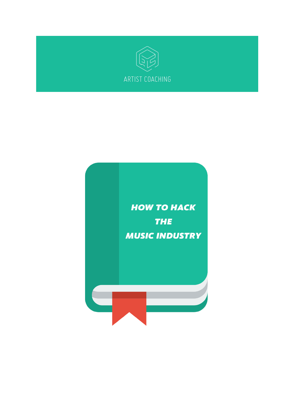

**HOW TO HACK THE MUSIC INDUSTRY**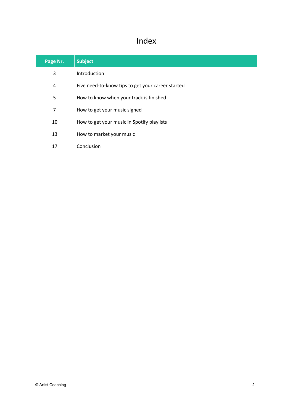# Index

| Page Nr. | <b>Subject</b>                                    |
|----------|---------------------------------------------------|
| 3        | Introduction                                      |
| 4        | Five need-to-know tips to get your career started |
| 5        | How to know when your track is finished           |
| 7        | How to get your music signed                      |
| 10       | How to get your music in Spotify playlists        |
| 13       | How to market your music                          |
| 17       | Conclusion                                        |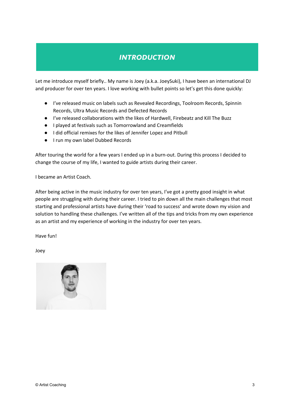### **INTRODUCTION**

Let me introduce myself briefly.. My name is Joey (a.k.a. JoeySuki), I have been an international DJ and producer for over ten years. I love working with bullet points so let's get this done quickly:

- I've released music on labels such as Revealed Recordings, Toolroom Records, Spinnin Records, Ultra Music Records and Defected Records
- I've released collaborations with the likes of Hardwell, Firebeatz and Kill The Buzz
- I played at festivals such as Tomorrowland and Creamfields
- I did official remixes for the likes of Jennifer Lopez and Pitbull
- I run my own label Dubbed Records

After touring the world for a few years I ended up in a burn-out. During this process I decided to change the course of my life, I wanted to guide artists during their career.

I became an Artist Coach.

After being active in the music industry for over ten years, I've got a pretty good insight in what people are struggling with during their career. I tried to pin down all the main challenges that most starting and professional artists have during their 'road to success' and wrote down my vision and solution to handling these challenges. I've written all of the tips and tricks from my own experience as an artist and my experience of working in the industry for over ten years.

Have fun!

Joey

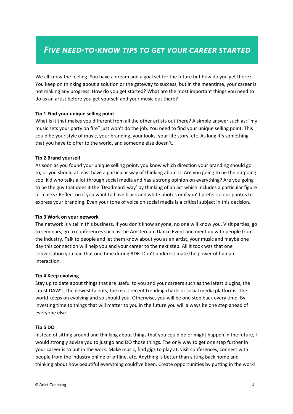### **FIVE NEED-TO-KNOW TIPS TO GET YOUR CAREER STARTED**

We all know the feeling. You have a dream and a goal set for the future but how do you get there? You keep on thinking about a solution or the gateway to success, but in the meantime, your career is not making any progress. How do you get started? What are the most important things you need to do as an artist before you get yourself and your music out there?

#### **Tip 1 Find your unique selling point**

What is it that makes you different from all the other artists out there? A simple answer such as: "my music sets your party on fire" just won't do the job. You need to find your unique selling point. This could be your style of music, your branding, your looks, your life story, etc. As long it's something that you have to offer to the world, and someone else doesn't.

#### **Tip 2 Brand yourself**

As soon as you found your unique selling point, you know which direction your branding should go to, or you should at least have a particular way of thinking about it. Are you going to be the outgoing cool kid who talks a lot through social media and has a strong opinion on everything? Are you going to be the guy that does it the 'Deadmau5 way' by thinking of an act which includes a particular figure or masks? Reflect on if you want to have black and white photos or if you'd prefer colour photos to express your branding. Even your tone of voice on social media is a critical subject in this decision.

#### **Tip 3 Work on your network**

The network is vital in this business. If you don't know anyone, no one will know you. Visit parties, go to seminars, go to conferences such as the Amsterdam Dance Event and meet up with people from the industry. Talk to people and let them know about you as an artist, your music and maybe one day this connection will help you and your career to the next step. All it took was that one conversation you had that one time during ADE. Don't underestimate the power of human interaction.

#### **Tip 4 Keep evolving**

Stay up to date about things that are useful to you and your careers such as the latest plugins, the latest DAW's, the newest talents, the most recent trending charts or social media platforms. The world keeps on evolving and so should you. Otherwise, you will be one step back every time. By investing time to things that will matter to you in the future you will always be one step ahead of everyone else.

#### **Tip 5 DO**

Instead of sitting around and thinking about things that you could do or might happen in the future, I would strongly advise you to just go and DO those things. The only way to get one step further in your career is to put in the work. Make music, find gigs to play at, visit conferences, connect with people from the industry online or offline, etc. Anything is better than sitting back home and thinking about how beautiful everything could've been. Create opportunities by putting in the work!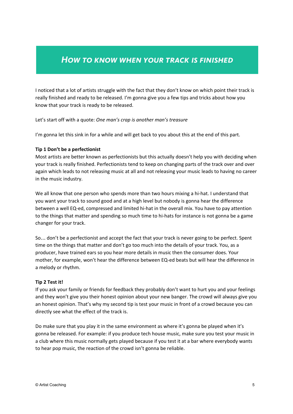### **HOW TO KNOW WHEN YOUR TRACK IS FINISHED**

I noticed that a lot of artists struggle with the fact that they don't know on which point their track is really finished and ready to be released. I'm gonna give you a few tips and tricks about how you know that your track is ready to be released.

Let's start off with a quote: *One man's crap is another man's treasure*

I'm gonna let this sink in for a while and will get back to you about this at the end of this part.

#### **Tip 1 Don't be a perfectionist**

Most artists are better known as perfectionists but this actually doesn't help you with deciding when your track is really finished. Perfectionists tend to keep on changing parts of the track over and over again which leads to not releasing music at all and not releasing your music leads to having no career in the music industry.

We all know that one person who spends more than two hours mixing a hi-hat. I understand that you want your track to sound good and at a high level but nobody is gonna hear the difference between a well EQ-ed, compressed and limited hi-hat in the overall mix. You have to pay attention to the things that matter and spending so much time to hi-hats for instance is not gonna be a game changer for your track.

So… don't be a perfectionist and accept the fact that your track is never going to be perfect. Spent time on the things that matter and don't go too much into the details of your track. You, as a producer, have trained ears so you hear more details in music then the consumer does. Your mother, for example, won't hear the difference between EQ-ed beats but will hear the difference in a melody or rhythm.

#### **Tip 2 Test it!**

If you ask your family or friends for feedback they probably don't want to hurt you and your feelings and they won't give you their honest opinion about your new banger. The crowd will always give you an honest opinion. That's why my second tip is test your music in front of a crowd because you can directly see what the effect of the track is.

Do make sure that you play it in the same environment as where it's gonna be played when it's gonna be released. For example: if you produce tech house music, make sure you test your music in a club where this music normally gets played because if you test it at a bar where everybody wants to hear pop music, the reaction of the crowd isn't gonna be reliable.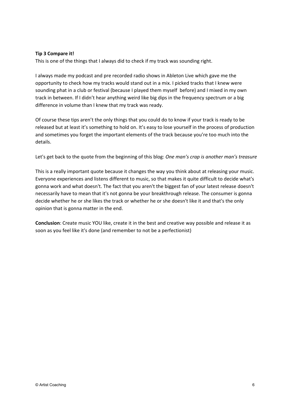#### **Tip 3 Compare it!**

This is one of the things that I always did to check if my track was sounding right.

I always made my podcast and pre recorded radio shows in Ableton Live which gave me the opportunity to check how my tracks would stand out in a mix. I picked tracks that I knew were sounding phat in a club or festival (because I played them myself before) and I mixed in my own track in between. If I didn't hear anything weird like big dips in the frequency spectrum or a big difference in volume than I knew that my track was ready.

Of course these tips aren't the only things that you could do to know if your track is ready to be released but at least it's something to hold on. It's easy to lose yourself in the process of production and sometimes you forget the important elements of the track because you're too much into the details.

Let's get back to the quote from the beginning of this blog: *One man's crap is another man's treasure*

This is a really important quote because it changes the way you think about at releasing your music. Everyone experiences and listens different to music, so that makes it quite difficult to decide what's gonna work and what doesn't. The fact that you aren't the biggest fan of your latest release doesn't necessarily have to mean that it's not gonna be your breakthrough release. The consumer is gonna decide whether he or she likes the track or whether he or she doesn't like it and that's the only opinion that is gonna matter in the end.

**Conclusion**: Create music YOU like, create it in the best and creative way possible and release it as soon as you feel like it's done (and remember to not be a perfectionist)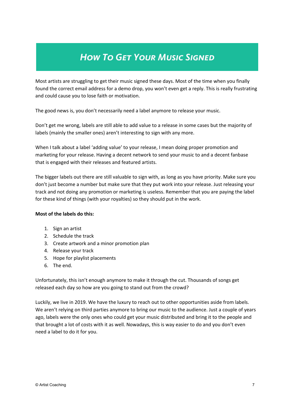# **HOW TO GET YOUR MUSIC SIGNED**

Most artists are struggling to get their music signed these days. Most of the time when you finally found the correct email address for a demo drop, you won't even get a reply. This is really frustrating and could cause you to lose faith or motivation.

The good news is, you don't necessarily need a label anymore to release your music.

Don't get me wrong, labels are still able to add value to a release in some cases but the majority of labels (mainly the smaller ones) aren't interesting to sign with any more.

When I talk about a label 'adding value' to your release, I mean doing proper promotion and marketing for your release. Having a decent network to send your music to and a decent fanbase that is engaged with their releases and featured artists.

The bigger labels out there are still valuable to sign with, as long as you have priority. Make sure you don't just become a number but make sure that they put work into your release. Just releasing your track and not doing any promotion or marketing is useless. Remember that you are paying the label for these kind of things (with your royalties) so they should put in the work.

#### **Most of the labels do this:**

- 1. Sign an artist
- 2. Schedule the track
- 3. Create artwork and a minor promotion plan
- 4. Release your track
- 5. Hope for playlist placements
- 6. The end.

Unfortunately, this isn't enough anymore to make it through the cut. Thousands of songs get released each day so how are you going to stand out from the crowd?

Luckily, we live in 2019. We have the luxury to reach out to other opportunities aside from labels. We aren't relying on third parties anymore to bring our music to the audience. Just a couple of years ago, labels were the only ones who could get your music distributed and bring it to the people and that brought a lot of costs with it as well. Nowadays, this is way easier to do and you don't even need a label to do it for you.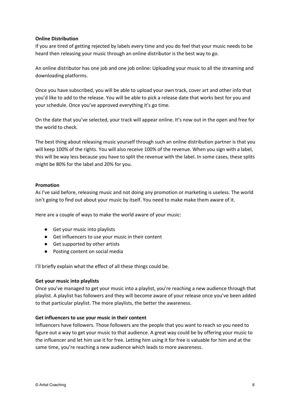#### **Online Distribution**

If you are tired of getting rejected by labels every time and you do feel that your music needs to be heard then releasing your music through an online distributor is the best way to go.

An online distributor has one job and one job online: Uploading your music to all the streaming and downloading platforms.

Once you have subscribed, you will be able to upload your own track, cover art and other info that you'd like to add to the release. You will be able to pick a release date that works best for you and your schedule. Once you've approved everything it's go time.

On the date that you've selected, your track will appear online. It's now out in the open and free for the world to check.

The best thing about releasing music yourself through such an online distribution partner is that you will keep 100% of the rights. You will also receive 100% of the revenue. When you sign with a label, this will be way less because you have to split the revenue with the label. In some cases, these splits might be 80% for the label and 20% for you.

#### **Promotion**

As I've said before, releasing music and not doing any promotion or marketing is useless. The world isn't going to find out about your music by itself. You need to make make them aware of it.

Here are a couple of ways to make the world aware of your music:

- Get your music into playlists
- Get influencers to use your music in their content
- Get supported by other artists
- Posting content on social media

I'll briefly explain what the effect of all these things could be.

#### **Get your music into playlists**

Once you've managed to get your music into a playlist, you're reaching a new audience through that playlist. A playlist has followers and they will become aware of your release once you've been added to that particular playlist. The more playlists, the better the awareness.

#### **Get influencers to use your music in their content**

Influencers have followers. Those followers are the people that you want to reach so you need to figure out a way to get your music to that audience. A great way could be by offering your music to the influencer and let him use it for free. Letting him using it for free is valuable for him and at the same time, you're reaching a new audience which leads to more awareness.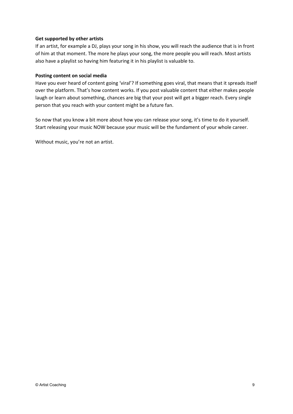#### **Get supported by other artists**

If an artist, for example a DJ, plays your song in his show, you will reach the audience that is in front of him at that moment. The more he plays your song, the more people you will reach. Most artists also have a playlist so having him featuring it in his playlist is valuable to.

#### **Posting content on social media**

Have you ever heard of content going 'viral'? If something goes viral, that means that it spreads itself over the platform. That's how content works. If you post valuable content that either makes people laugh or learn about something, chances are big that your post will get a bigger reach. Every single person that you reach with your content might be a future fan.

So now that you know a bit more about how you can release your song, it's time to do it yourself. Start releasing your music NOW because your music will be the fundament of your whole career.

Without music, you're not an artist.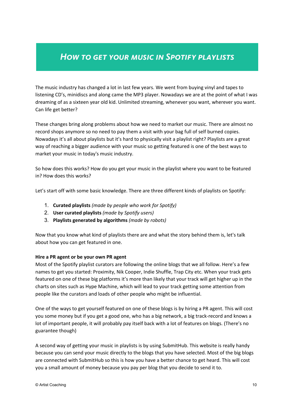### **HOW TO GET YOUR MUSIC IN SPOTIFY PLAYLISTS**

The music industry has changed a lot in last few years. We went from buying vinyl and tapes to listening CD's, minidiscs and along came the MP3 player. Nowadays we are at the point of what I was dreaming of as a sixteen year old kid. Unlimited streaming, whenever you want, wherever you want. Can life get better?

These changes bring along problems about how we need to market our music. There are almost no record shops anymore so no need to pay them a visit with your bag full of self burned copies. Nowadays it's all about playlists but it's hard to physically visit a playlist right? Playlists are a great way of reaching a bigger audience with your music so getting featured is one of the best ways to market your music in today's music industry.

So how does this works? How do you get your music in the playlist where you want to be featured in? How does this works?

Let's start off with some basic knowledge. There are three different kinds of playlists on Spotify:

- 1. **Curated playlists** *(made by people who work for Spotify)*
- 2. **User curated playlists** *(made by Spotify users)*
- 3. **Playlists generated by algorithms** *(made by robots)*

Now that you know what kind of playlists there are and what the story behind them is, let's talk about how you can get featured in one.

#### **Hire a PR agent or be your own PR agent**

Most of the Spotify playlist curators are following the online blogs that we all follow. Here's a few names to get you started: Proximity, Nik Cooper, Indie Shuffle, Trap City etc. When your track gets featured on one of these big platforms it's more than likely that your track will get higher up in the charts on sites such as Hype Machine, which will lead to your track getting some attention from people like the curators and loads of other people who might be influential.

One of the ways to get yourself featured on one of these blogs is by hiring a PR agent. This will cost you some money but if you get a good one, who has a big network, a big track-record and knows a lot of important people, it will probably pay itself back with a lot of features on blogs. (There's no guarantee though)

A second way of getting your music in playlists is by using SubmitHub. This website is really handy because you can send your music directly to the blogs that you have selected. Most of the big blogs are connected with SubmitHub so this is how you have a better chance to get heard. This will cost you a small amount of money because you pay per blog that you decide to send it to.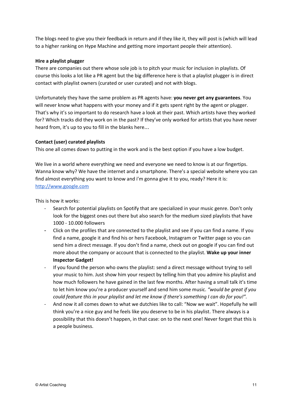The blogs need to give you their feedback in return and if they like it, they will post is (which will lead to a higher ranking on Hype Machine and getting more important people their attention).

#### **Hire a playlist plugger**

There are companies out there whose sole job is to pitch your music for inclusion in playlists. Of course this looks a lot like a PR agent but the big difference here is that a playlist plugger is in direct contact with playlist owners (curated or user curated) and not with blogs.

Unfortunately they have the same problem as PR agents have: **you never get any guarantees**. You will never know what happens with your money and if it gets spent right by the agent or plugger. That's why it's so important to do research have a look at their past. Which artists have they worked for? Which tracks did they work on in the past? If they've only worked for artists that you have never heard from, it's up to you to fill in the blanks here…

#### **Contact (user) curated playlists**

This one all comes down to putting in the work and is the best option if you have a low budget.

We live in a world where everything we need and everyone we need to know is at our fingertips. Wanna know why? We have the internet and a smartphone. There's a special website where you can find almost everything you want to know and i'm gonna give it to you, ready? Here it is: [http://www.google.com](http://www.google.com/)

This is how it works:

- Search for potential playlists on Spotify that are specialized in your music genre. Don't only look for the biggest ones out there but also search for the medium sized playlists that have 1000 - 10.000 followers
- Click on the profiles that are connected to the playlist and see if you can find a name. If you find a name, google it and find his or hers Facebook, Instagram or Twitter page so you can send him a direct message. If you don't find a name, check out on google if you can find out more about the company or account that is connected to the playlist. **Wake up your inner Inspector Gadget!**
- If you found the person who owns the playlist: send a direct message without trying to sell your music to him. Just show him your respect by telling him that you admire his playlist and how much followers he have gained in the last few months. After having a small talk it's time to let him know you're a producer yourself and send him some music. *"would be great if you could feature this in your playlist and let me know if there's something I can do for you!".*
- And now it all comes down to what we dutchies like to call: "Now we wait". Hopefully he will think you're a nice guy and he feels like you deserve to be in his playlist. There always is a possibility that this doesn't happen, in that case: on to the next one! Never forget that this is a people business.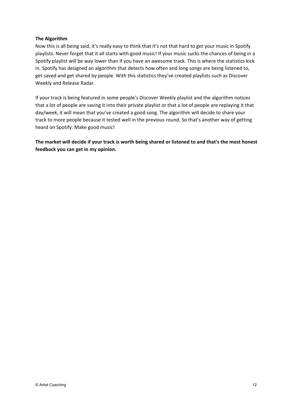#### **The Algorithm**

Now this is all being said, it's really easy to think that it's not that hard to get your music in Spotify playlists. Never forget that it all starts with good music! If your music sucks the chances of being in a Spotify playlist will be way lower than if you have an awesome track. This is where the statistics kick in. Spotify has designed an algorithm that detects how often and long songs are being listened to, get saved and get shared by people. With this statistics they've created playlists such as Discover Weekly and Release Radar.

If your track is being featured in some people's Discover Weekly playlist and the algorithm notices that a lot of people are saving it into their private playlist or that a lot of people are replaying it that day/week, it will mean that you've created a good song. The algorithm will decide to share your track to more people because it tested well in the previous round. So that's another way of getting heard on Spotify. Make good music!

The market will decide if your track is worth being shared or listened to and that's the most honest **feedback you can get in my opinion.**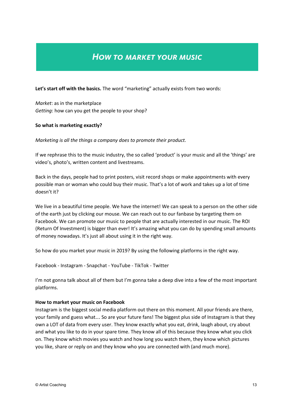### **HOW TO MARKET YOUR MUSIC**

**Let's start off with the basics.** The word "marketing" actually exists from two words:

*Market*: as in the marketplace *Getting*: how can you get the people to your shop?

#### **So what is marketing exactly?**

*Marketing is all the things a company does to promote their product.*

If we rephrase this to the music industry, the so called 'product' is your music and all the 'things' are video's, photo's, written content and livestreams.

Back in the days, people had to print posters, visit record shops or make appointments with every possible man or woman who could buy their music. That's a lot of work and takes up a lot of time doesn't it?

We live in a beautiful time people. We have the internet! We can speak to a person on the other side of the earth just by clicking our mouse. We can reach out to our fanbase by targeting them on Facebook. We can promote our music to people that are actually interested in our music. The ROI (Return Of Investment) is bigger than ever! It's amazing what you can do by spending small amounts of money nowadays. It's just all about using it in the right way.

So how do you market your music in 2019? By using the following platforms in the right way.

Facebook - Instagram - Snapchat - YouTube - TikTok - Twitter

I'm not gonna talk about all of them but I'm gonna take a deep dive into a few of the most important platforms.

#### **How to market your music on Facebook**

Instagram is the biggest social media platform out there on this moment. All your friends are there, your family and guess what… So are your future fans! The biggest plus side of Instagram is that they own a LOT of data from every user. They know exactly what you eat, drink, laugh about, cry about and what you like to do in your spare time. They know all of this because they know what you click on. They know which movies you watch and how long you watch them, they know which pictures you like, share or reply on and they know who you are connected with (and much more).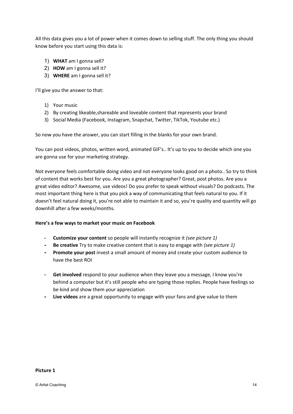All this data gives you a lot of power when it comes down to selling stuff. The only thing you should know before you start using this data is:

- 1) **WHAT** am I gonna sell?
- 2) **HOW** am I gonna sell it?
- 3) **WHERE** am I gonna sell it?

I'll give you the answer to that:

- 1) Your music
- 2) By creating likeable,shareable and loveable content that represents your brand
- 3) Social Media (Facebook, Instagram, Snapchat, Twitter, TikTok, Youtube etc.)

So now you have the answer, you can start filling in the blanks for your own brand.

You can post videos, photos, written word, animated GIF's.. It's up to you to decide which one you are gonna use for your marketing strategy.

Not everyone feels comfortable doing video and not everyone looks good on a photo.. So try to think of content that works best for you. Are you a great photographer? Great, post photos. Are you a great video editor? Awesome, use videos! Do you prefer to speak without visuals? Do podcasts. The most important thing here is that you pick a way of communicating that feels natural to you. If it doesn't feel natural doing it, you're not able to maintain it and so, you're quality and quantity will go downhill after a few weeks/months.

#### **Here's a few ways to market your music on Facebook**

- **Customize your content** so people will instantly recognize it *(see picture 1)*
- **- Be creative** Try to make creative content that is easy to engage with *(see picture 1)*
- **- Promote your post** invest a small amount of money and create your custom audience to have the best ROI
- Get involved respond to your audience when they leave you a message, I know you're behind a computer but it's still people who are typing those replies. People have feelings so be kind and show them your appreciation
- **- Live videos** are a great opportunity to engage with your fans and give value to them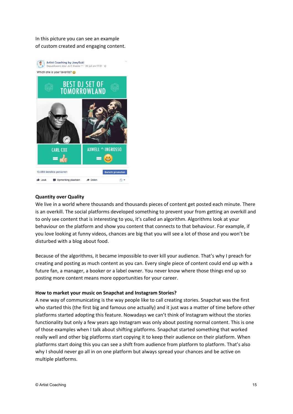In this picture you can see an example of custom created and engaging content.



#### **Quantity over Quality**

We live in a world where thousands and thousands pieces of content get posted each minute. There is an overkill. The social platforms developed something to prevent your from getting an overkill and to only see content that is interesting to you, it's called an algorithm. Algorithms look at your behaviour on the platform and show you content that connects to that behaviour. For example, if you love looking at funny videos, chances are big that you will see a lot of those and you won't be disturbed with a blog about food.

Because of the algorithms, it became impossible to over kill your audience. That's why I preach for creating and posting as much content as you can. Every single piece of content could end up with a future fan, a manager, a booker or a label owner. You never know where those things end up so posting more content means more opportunities for your career.

#### **How to market your music on Snapchat and Instagram Stories?**

A new way of communicating is the way people like to call creating stories. Snapchat was the first who started this (the first big and famous one actually) and it just was a matter of time before other platforms started adopting this feature. Nowadays we can't think of Instagram without the stories functionality but only a few years ago Instagram was only about posting normal content. This is one of those examples when I talk about shifting platforms. Snapchat started something that worked really well and other big platforms start copying it to keep their audience on their platform. When platforms start doing this you can see a shift from audience from platform to platform. That's also why I should never go all in on one platform but always spread your chances and be active on multiple platforms.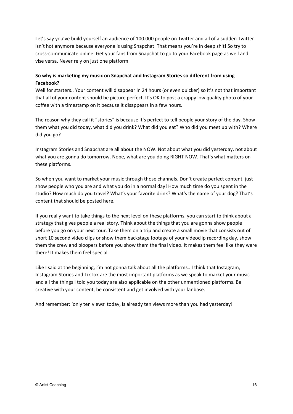Let's say you've build yourself an audience of 100.000 people on Twitter and all of a sudden Twitter isn't hot anymore because everyone is using Snapchat. That means you're in deep shit! So try to cross-communicate online. Get your fans from Snapchat to go to your Facebook page as well and vise versa. Never rely on just one platform.

#### **So why is marketing my music on Snapchat and Instagram Stories so different from using Facebook?**

Well for starters.. Your content will disappear in 24 hours (or even quicker) so it's not that important that all of your content should be picture perfect. It's OK to post a crappy low quality photo of your coffee with a timestamp on it because it disappears in a few hours.

The reason why they call it "stories" is because it's perfect to tell people your story of the day. Show them what you did today, what did you drink? What did you eat? Who did you meet up with? Where did you go?

Instagram Stories and Snapchat are all about the NOW. Not about what you did yesterday, not about what you are gonna do tomorrow. Nope, what are you doing RIGHT NOW. That's what matters on these platforms.

So when you want to market your music through those channels. Don't create perfect content, just show people who you are and what you do in a normal day! How much time do you spent in the studio? How much do you travel? What's your favorite drink? What's the name of your dog? That's content that should be posted here.

If you really want to take things to the next level on these platforms, you can start to think about a strategy that gives people a real story. Think about the things that you are gonna show people before you go on your next tour. Take them on a trip and create a small movie that consists out of short 10 second video clips or show them backstage footage of your videoclip recording day, show them the crew and bloopers before you show them the final video. It makes them feel like they were there! It makes them feel special.

Like I said at the beginning, i'm not gonna talk about all the platforms.. I think that Instagram, Instagram Stories and TikTok are the most important platforms as we speak to market your music and all the things I told you today are also applicable on the other unmentioned platforms. Be creative with your content, be consistent and get involved with your fanbase.

And remember: 'only ten views' today, is already ten views more than you had yesterday!